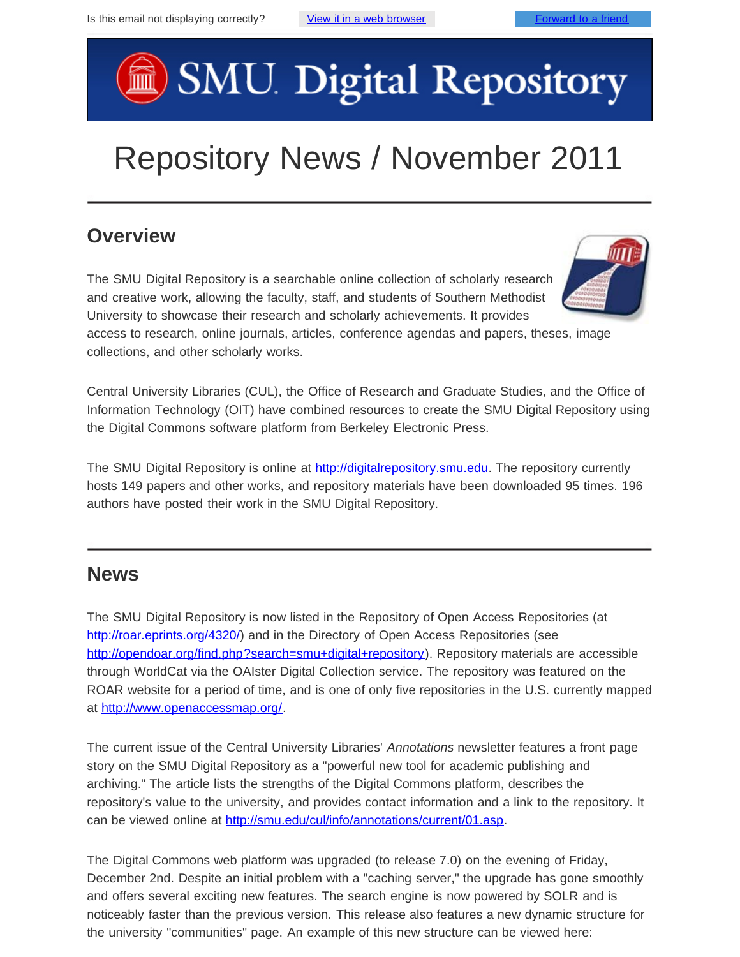# SMU Digital Repository

# Repository News / November 2011

#### **Overview**

The SMU Digital Repository is a searchable online collection of scholarly research and creative work, allowing the faculty, staff, and students of Southern Methodist University to showcase their research and scholarly achievements. It provides

access to research, online journals, articles, conference agendas and papers, theses, image collections, and other scholarly works.

Central University Libraries (CUL), the Office of Research and Graduate Studies, and the Office of Information Technology (OIT) have combined resources to create the SMU Digital Repository using the Digital Commons software platform from Berkeley Electronic Press.

The SMU Digital Repository is online at [http://digitalrepository.smu.edu](http://digitalrepository.smu.edu/). The repository currently hosts 149 papers and other works, and repository materials have been downloaded 95 times. 196 authors have posted their work in the SMU Digital Repository.

#### **News**

The SMU Digital Repository is now listed in the Repository of Open Access Repositories (at [http://roar.eprints.org/4320/\)](http://roar.eprints.org/4320/) and in the Directory of Open Access Repositories (see [http://opendoar.org/find.php?search=smu+digital+repository\)](http://opendoar.org/find.php?search=smu+digital+repository). Repository materials are accessible through WorldCat via the OAIster Digital Collection service. The repository was featured on the ROAR website for a period of time, and is one of only five repositories in the U.S. currently mapped at <http://www.openaccessmap.org/>.

The current issue of the Central University Libraries' *Annotations* newsletter features a front page story on the SMU Digital Repository as a "powerful new tool for academic publishing and archiving." The article lists the strengths of the Digital Commons platform, describes the repository's value to the university, and provides contact information and a link to the repository. It can be viewed online at <http://smu.edu/cul/info/annotations/current/01.asp>.

The Digital Commons web platform was upgraded (to release 7.0) on the evening of Friday, December 2nd. Despite an initial problem with a "caching server," the upgrade has gone smoothly and offers several exciting new features. The search engine is now powered by SOLR and is noticeably faster than the previous version. This release also features a new dynamic structure for the university "communities" page. An example of this new structure can be viewed here: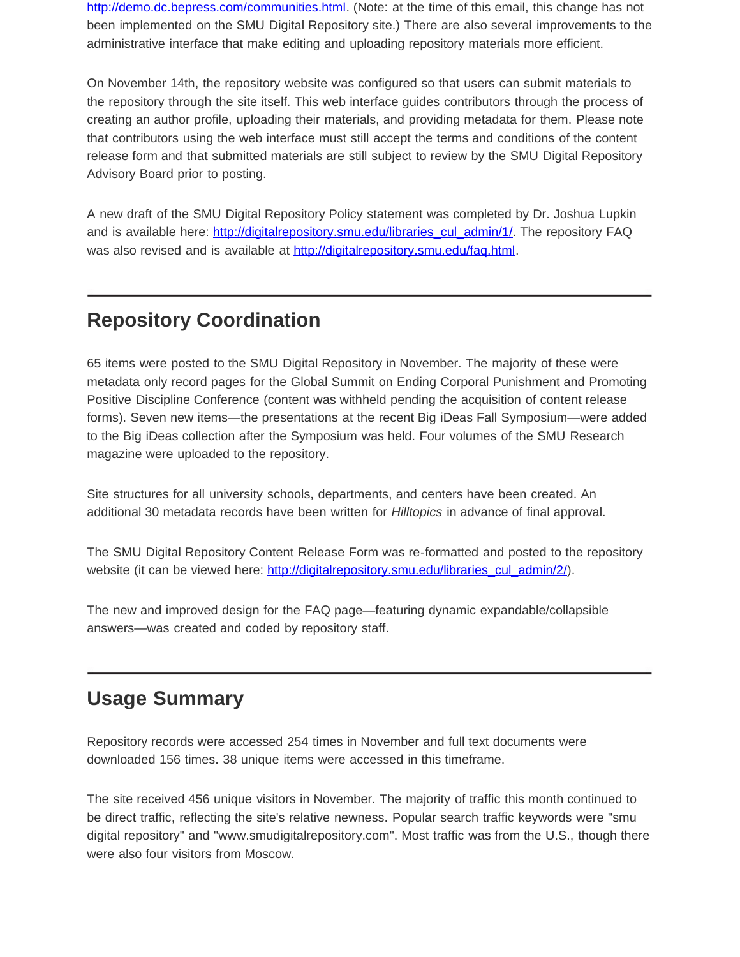[http://demo.dc.bepress.com/communities.html.](http://demo.dc.bepress.com/communities.html) (Note: at the time of this email, this change has not been implemented on the SMU Digital Repository site.) There are also several improvements to the administrative interface that make editing and uploading repository materials more efficient.

On November 14th, the repository website was configured so that users can submit materials to the repository through the site itself. This web interface guides contributors through the process of creating an author profile, uploading their materials, and providing metadata for them. Please note that contributors using the web interface must still accept the terms and conditions of the content release form and that submitted materials are still subject to review by the SMU Digital Repository Advisory Board prior to posting.

A new draft of the SMU Digital Repository Policy statement was completed by Dr. Joshua Lupkin and is available here: [http://digitalrepository.smu.edu/libraries\\_cul\\_admin/1/](http://digitalrepository.smu.edu/libraries_cul_admin/1/). The repository FAQ was also revised and is available at [http://digitalrepository.smu.edu/faq.html.](http://digitalrepository.smu.edu/faq.html)

# **Repository Coordination**

65 items were posted to the SMU Digital Repository in November. The majority of these were metadata only record pages for the Global Summit on Ending Corporal Punishment and Promoting Positive Discipline Conference (content was withheld pending the acquisition of content release forms). Seven new items—the presentations at the recent Big iDeas Fall Symposium—were added to the Big iDeas collection after the Symposium was held. Four volumes of the SMU Research magazine were uploaded to the repository.

Site structures for all university schools, departments, and centers have been created. An additional 30 metadata records have been written for *Hilltopics* in advance of final approval.

The SMU Digital Repository Content Release Form was re-formatted and posted to the repository website (it can be viewed here: [http://digitalrepository.smu.edu/libraries\\_cul\\_admin/2/](http://digitalrepository.smu.edu/libraries_cul_admin/2/)).

The new and improved design for the FAQ page—featuring dynamic expandable/collapsible answers—was created and coded by repository staff.

### **Usage Summary**

Repository records were accessed 254 times in November and full text documents were downloaded 156 times. 38 unique items were accessed in this timeframe.

The site received 456 unique visitors in November. The majority of traffic this month continued to be direct traffic, reflecting the site's relative newness. Popular search traffic keywords were "smu digital repository" and "www.smudigitalrepository.com". Most traffic was from the U.S., though there were also four visitors from Moscow.